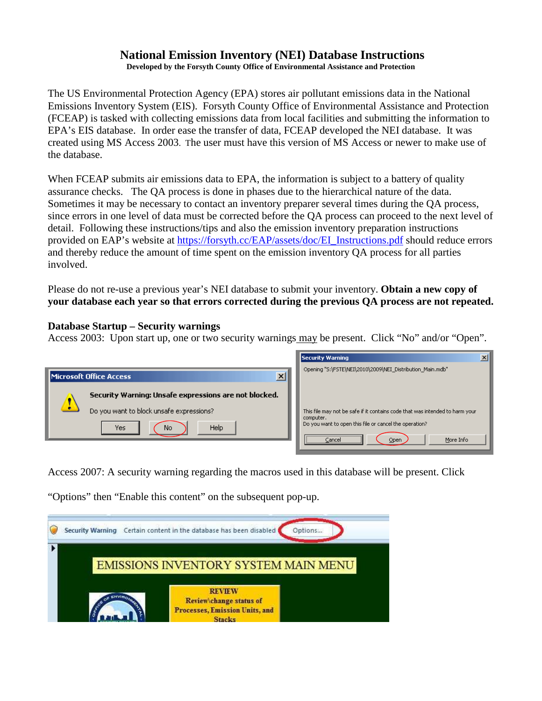# **National Emission Inventory (NEI) Database Instructions**

**Developed by the Forsyth County Office of Environmental Assistance and Protection**

The US Environmental Protection Agency (EPA) stores air pollutant emissions data in the National Emissions Inventory System (EIS). Forsyth County Office of Environmental Assistance and Protection (FCEAP) is tasked with collecting emissions data from local facilities and submitting the information to EPA's EIS database. In order ease the transfer of data, FCEAP developed the NEI database. It was created using MS Access 2003. The user must have this version of MS Access or newer to make use of the database.

When FCEAP submits air emissions data to EPA, the information is subject to a battery of quality assurance checks. The QA process is done in phases due to the hierarchical nature of the data. Sometimes it may be necessary to contact an inventory preparer several times during the QA process, since errors in one level of data must be corrected before the QA process can proceed to the next level of detail. Following these instructions/tips and also the emission inventory preparation instructions provided on EAP's website at [https://forsyth.cc/EAP/assets/doc/EI\\_Instructions.pdf](https://forsyth.cc/EAP/assets/doc/EI_Instructions.pdf) should reduce errors and thereby reduce the amount of time spent on the emission inventory QA process for all parties involved.

Please do not re-use a previous year's NEI database to submit your inventory. **Obtain a new copy of your database each year so that errors corrected during the previous QA process are not repeated.**

### **Database Startup – Security warnings**

Access 2003: Upon start up, one or two security warnings may be present. Click "No" and/or "Open".



Access 2007: A security warning regarding the macros used in this database will be present. Click

"Options" then "Enable this content" on the subsequent pop-up.

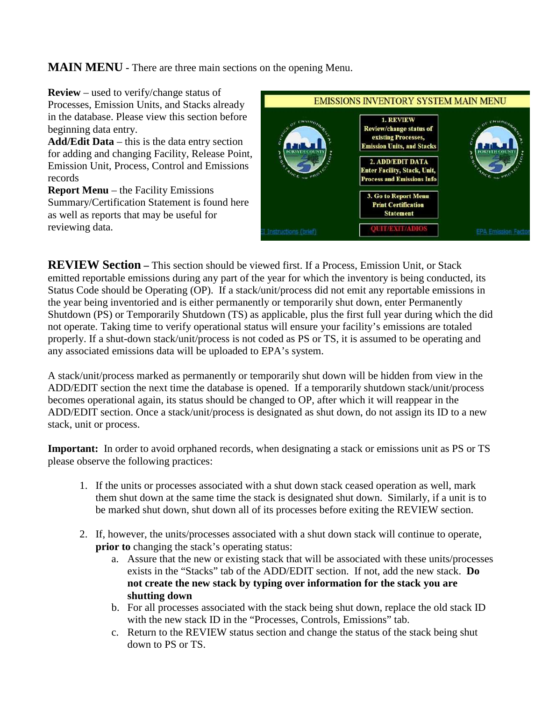**MAIN MENU -** There are three main sections on the opening Menu.



**REVIEW Section** – This section should be viewed first. If a Process, Emission Unit, or Stack emitted reportable emissions during any part of the year for which the inventory is being conducted, its Status Code should be Operating (OP). If a stack/unit/process did not emit any reportable emissions in the year being inventoried and is either permanently or temporarily shut down, enter Permanently Shutdown (PS) or Temporarily Shutdown (TS) as applicable, plus the first full year during which the did not operate. Taking time to verify operational status will ensure your facility's emissions are totaled properly. If a shut-down stack/unit/process is not coded as PS or TS, it is assumed to be operating and any associated emissions data will be uploaded to EPA's system.

A stack/unit/process marked as permanently or temporarily shut down will be hidden from view in the ADD/EDIT section the next time the database is opened. If a temporarily shutdown stack/unit/process becomes operational again, its status should be changed to OP, after which it will reappear in the ADD/EDIT section. Once a stack/unit/process is designated as shut down, do not assign its ID to a new stack, unit or process.

**Important:** In order to avoid orphaned records, when designating a stack or emissions unit as PS or TS please observe the following practices:

- 1. If the units or processes associated with a shut down stack ceased operation as well, mark them shut down at the same time the stack is designated shut down. Similarly, if a unit is to be marked shut down, shut down all of its processes before exiting the REVIEW section.
- 2. If, however, the units/processes associated with a shut down stack will continue to operate, **prior to** changing the stack's operating status:
	- a. Assure that the new or existing stack that will be associated with these units/processes exists in the "Stacks" tab of the ADD/EDIT section. If not, add the new stack. **Do not create the new stack by typing over information for the stack you are shutting down**
	- b. For all processes associated with the stack being shut down, replace the old stack ID with the new stack ID in the "Processes, Controls, Emissions" tab.
	- c. Return to the REVIEW status section and change the status of the stack being shut down to PS or TS.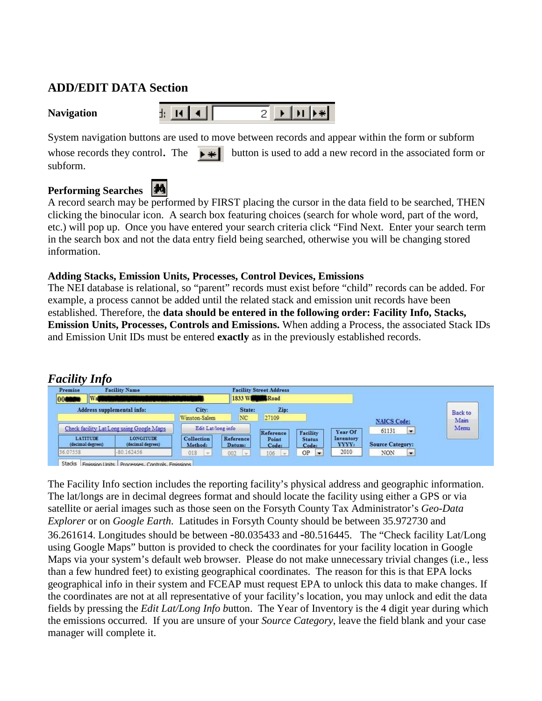# **ADD/EDIT DATA Section**

System navigation buttons are used to move between records and appear within the form or subform

whose records they control. The  $\rightarrow \parallel \parallel$  button is used to add a new record in the associated form or subform.

# **Performing Searches**



A record search may be performed by FIRST placing the cursor in the data field to be searched, THEN clicking the binocular icon. A search box featuring choices (search for whole word, part of the word, etc.) will pop up. Once you have entered your search criteria click "Find Next. Enter your search term in the search box and not the data entry field being searched, otherwise you will be changing stored information.

### **Adding Stacks, Emission Units, Processes, Control Devices, Emissions**

The NEI database is relational, so "parent" records must exist before "child" records can be added. For example, a process cannot be added until the related stack and emission unit records have been established. Therefore, the **data should be entered in the following order: Facility Info, Stacks, Emission Units, Processes, Controls and Emissions.** When adding a Process, the associated Stack IDs and Emission Unit IDs must be entered **exactly** as in the previously established records.

## *Facility Info*

| Premise                              | <b>Facility Name</b>                      |                              |                     | <b>Facility Street Address</b> |                               |                    |                                   |         |
|--------------------------------------|-------------------------------------------|------------------------------|---------------------|--------------------------------|-------------------------------|--------------------|-----------------------------------|---------|
| <b>W</b><br>$ 000^{\circ} $          |                                           |                              | 1833 W Road         |                                |                               |                    |                                   |         |
|                                      | Address supplemental info:                | City:                        | State:              | Zip:                           |                               |                    |                                   | Back to |
|                                      |                                           | Winston-Salem                | NC                  | 27109                          |                               |                    | <b>NAICS Code:</b>                | Main    |
|                                      | Check facility Lat/Long using Google Maps | Edit Lat/long info           |                     | Reference                      | Facility                      | Year Of            | 61131<br>$\overline{\phantom{a}}$ | Memu    |
| <b>LATITUDE</b><br>(decimal degrees) | <b>LONGITUDE</b><br>(decimal degrees)     | <b>Collection</b><br>Method: | Reference<br>Datum: | Point<br>Code:                 | <b>Status</b><br>Code:        | Inventory<br>YYYY: | <b>Source Category:</b>           |         |
| 36.07558                             | $-80.162456$                              | 018<br>$-$                   | 002<br>l vi         | $106$ $-$                      | OP<br>$\overline{\mathbf{v}}$ | 2010               | NON<br>$\ddot{}$                  |         |

The Facility Info section includes the reporting facility's physical address and geographic information. The lat/longs are in decimal degrees format and should locate the facility using either a GPS or via satellite or aerial images such as those seen on the Forsyth County Tax Administrator's *Geo-Data Explorer* or on *Google Earth*. Latitudes in Forsyth County should be between 35.972730 and 36.261614. Longitudes should be between **-**80.035433 and **-**80.516445. The "Check facility Lat/Long using Google Maps" button is provided to check the coordinates for your facility location in Google Maps via your system's default web browser. Please do not make unnecessary trivial changes (i.e., less than a few hundred feet) to existing geographical coordinates. The reason for this is that EPA locks geographical info in their system and FCEAP must request EPA to unlock this data to make changes. If the coordinates are not at all representative of your facility's location, you may unlock and edit the data fields by pressing the *Edit Lat/Long Info b*utton. The Year of Inventory is the 4 digit year during which the emissions occurred. If you are unsure of your *Source Category*, leave the field blank and your case manager will complete it.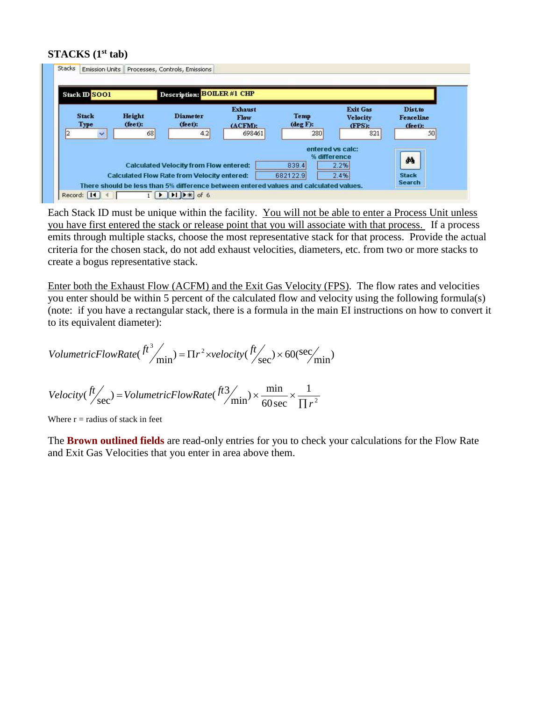#### **STACKS (1st tab)**



Each Stack ID must be unique within the facility. You will not be able to enter a Process Unit unless you have first entered the stack or release point that you will associate with that process. If a process emits through multiple stacks, choose the most representative stack for that process. Provide the actual criteria for the chosen stack, do not add exhaust velocities, diameters, etc. from two or more stacks to create a bogus representative stack.

Enter both the Exhaust Flow (ACFM) and the Exit Gas Velocity (FPS). The flow rates and velocities you enter should be within 5 percent of the calculated flow and velocity using the following formula(s) (note: if you have a rectangular stack, there is a formula in the main EI instructions on how to convert it to its equivalent diameter):

$$
VolumetricFlowRate({f^3}/{\text{min}}) = \Pi r^2 \times velocity({f^{\dagger}}/{\text{sec}}) \times 60(\text{sec}/\text{min})
$$

$$
Velocity(\frac{ft}{sec}) = VolumetricFlowRate(\frac{ft3}{min}) \times \frac{min}{60 \sec} \times \frac{1}{\prod r^2}
$$

Where  $r =$  radius of stack in feet

The **Brown outlined fields** are read-only entries for you to check your calculations for the Flow Rate and Exit Gas Velocities that you enter in area above them.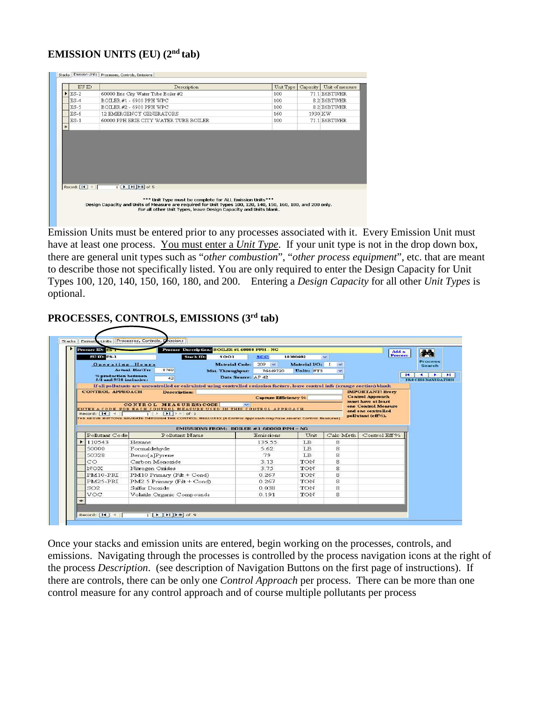## **EMISSION UNITS (EU) (2nd tab)**

|   | EU ID          | Description                                                                | Unit Type | Capacity | Unit of measure |
|---|----------------|----------------------------------------------------------------------------|-----------|----------|-----------------|
|   | ES-2           | 60000 Erie City Water Tube Boiler #2                                       | 100       |          | 71.1 E6BTU/HR   |
|   | $ES-4$         | BOILER #1 - 6900 PPH WPC                                                   | 100       |          | 8.2 E6BTU/HR    |
|   | $ES-5$         | BOILER #2 - 6900 PPH WPC                                                   | 100       |          | 8.2 E6BTU/HR    |
|   | $ES-6$         | 12 EMERGENCY GENERATORS                                                    | 160       |          | 1930 KW         |
|   | $ES-1$         | 60000 PPH ERIE CITY WATER TUBE BOILER                                      | 100       |          | 71.1 E6BTU/HR   |
| 瑞 |                |                                                                            |           |          |                 |
|   |                |                                                                            |           |          |                 |
|   |                |                                                                            |           |          |                 |
|   | Record: [14] 4 | $1$ $\triangleright$ $\triangleright$ $\triangleright$ $\preccurlyeq$ of 5 |           |          |                 |

Emission Units must be entered prior to any processes associated with it. Every Emission Unit must have at least one process. You must enter a *Unit Type*. If your unit type is not in the drop down box, there are general unit types such as "*other combustion*", "*other process equipment*", etc. that are meant to describe those not specifically listed. You are only required to enter the Design Capacity for Unit Types 100, 120, 140, 150, 160, 180, and 200. Entering a *Design Capacity* for all other *Unit Types* is optional.

### **PROCESSES, CONTROLS, EMISSIONS (3rd tab)**

| Process ID: BAS                                 |                   |                             | Process Description: BOILER #1 60000 PPH - NG |                                                                                                                               |                |                          | Add a                                         | 44                                |
|-------------------------------------------------|-------------------|-----------------------------|-----------------------------------------------|-------------------------------------------------------------------------------------------------------------------------------|----------------|--------------------------|-----------------------------------------------|-----------------------------------|
| EC ID: ES-1                                     |                   |                             | <b>Stack ID:</b><br>SOO1                      | SCC:                                                                                                                          | 10300602       | $\overline{\mathbf{v}}$  | Process                                       |                                   |
| <b>Operating Hours</b>                          |                   |                             | Material Cade:                                | $209 - 4$                                                                                                                     | Material UO: I | $\overline{\phantom{a}}$ |                                               | <b>Process</b><br><b>Search</b>   |
|                                                 | Actual Hrs\Yr:    | 8760                        | Mat. Throughput:                              | 76449720                                                                                                                      | Units: FT3     | $\sim$                   |                                               |                                   |
| % production between<br>5/1 and 9/38 inclusive: |                   | 42                          |                                               | Data Source: AP 42                                                                                                            |                |                          |                                               | $\mathbf{H}$<br>FROUDS NAVICATION |
|                                                 |                   |                             |                                               | If all pollutants are uncontrolled or calculated using controlled emission factors, leave control info (orange section) blank |                |                          |                                               |                                   |
| <b>CONTROL APPROACH</b>                         |                   | <b>Description:</b>         |                                               |                                                                                                                               |                |                          | <b>IMPORTANT! Every</b>                       |                                   |
|                                                 |                   |                             |                                               | <b>Capture Efficiency %</b>                                                                                                   |                |                          | <b>Centrol Approach</b><br>must have at least |                                   |
|                                                 |                   | CONTROL MEASURES CODE       |                                               | $\overline{\phantom{a}}$                                                                                                      |                |                          | one Control Measure                           |                                   |
|                                                 |                   |                             |                                               |                                                                                                                               |                |                          |                                               |                                   |
|                                                 |                   |                             |                                               | ENTERACODE FOR EACH CONTROL MEASURE USED IN THIS CONTROL APPROACH                                                             |                |                          | and one controlled                            |                                   |
| Record: 14 4                                    | $1$ $\rightarrow$ | $H$ $\rightarrow$ $H$ of 1  |                                               |                                                                                                                               |                |                          | pollutant (eff%).                             |                                   |
|                                                 |                   |                             |                                               | THE ABOVE BUTTONS NAVIGATE THROUGH THE CONTROL HEASURES (A Control Approach may have several Control Neasures)                |                |                          |                                               |                                   |
|                                                 |                   |                             |                                               | EMISSIONS FROM: BOILER #1 60000 PPH - NG                                                                                      |                |                          |                                               |                                   |
| Pollutant Code                                  |                   | Pollutant Name              |                                               | Emissions                                                                                                                     | Unit           | Calc Meth                | Control Eff %                                 |                                   |
| 110543                                          | Hexane            |                             |                                               | 135.55                                                                                                                        | <b>LB</b>      | 8                        |                                               |                                   |
| 50000                                           | Formaldehyde      |                             |                                               | 5.62                                                                                                                          | T.B            | 8                        |                                               |                                   |
| 50328                                           | Benzo[a]Pyrene    |                             |                                               | 79                                                                                                                            | <b>LB</b>      | 8                        |                                               |                                   |
| CO.                                             |                   | Carbon Monoxide             |                                               | 3.13                                                                                                                          | TON            | 8                        |                                               |                                   |
| NOX                                             | Nitrogen Oxides   |                             |                                               | 3.75                                                                                                                          | TON            | 8                        |                                               |                                   |
| PM10-PRI                                        |                   | PM10 Primary (Filt + Cond)  |                                               | 0.267                                                                                                                         | TON            | 8                        |                                               |                                   |
| PM25-PRI                                        |                   | PM2.5 Primary (Filt + Cond) |                                               | 0.267                                                                                                                         | TON            | 8                        |                                               |                                   |
| SO <sub>2</sub>                                 | Sulfur Dioxide    |                             |                                               | 0.038                                                                                                                         | TON            | 8                        |                                               |                                   |
| VOC.                                            |                   | Volatile Organic Compounds  |                                               | 0 1 9 1                                                                                                                       | TON            | 8                        |                                               |                                   |

Once your stacks and emission units are entered, begin working on the processes, controls, and emissions. Navigating through the processes is controlled by the process navigation icons at the right of the process *Description*. (see description of Navigation Buttons on the first page of instructions). If there are controls, there can be only one *Control Approach* per process. There can be more than one control measure for any control approach and of course multiple pollutants per process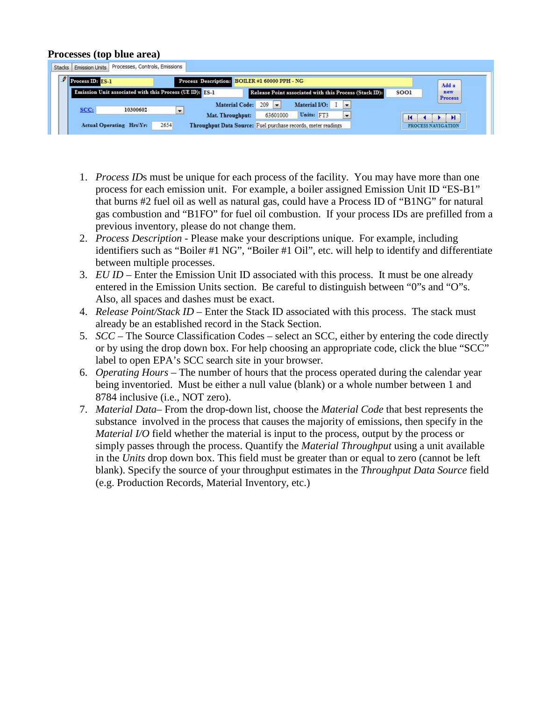#### **Processes (top blue area)**

| Process ID: ES-1             |                                                          | Process Description: BOILER #1 60000 PPH - NG                   | Add a                  |
|------------------------------|----------------------------------------------------------|-----------------------------------------------------------------|------------------------|
|                              | Emission Unit associated with this Process (UE ID): 1851 | Release Point associated with this Process (Stack ID):          | SOO1<br>new<br>Process |
|                              |                                                          | $\overline{ }$<br>Material I/O:<br>209<br><b>Material Code:</b> |                        |
| SCC <sub>i</sub><br>10300602 | i.                                                       | Units: FT3<br>63601000<br>Mat. Throughput:<br>$\cdot$           |                        |

- 1. *Process ID*s must be unique for each process of the facility. You may have more than one process for each emission unit. For example, a boiler assigned Emission Unit ID "ES-B1" that burns #2 fuel oil as well as natural gas, could have a Process ID of "B1NG" for natural gas combustion and "B1FO" for fuel oil combustion. If your process IDs are prefilled from a previous inventory, please do not change them.
- 2. *Process Description* Please make your descriptions unique. For example, including identifiers such as "Boiler #1 NG", "Boiler #1 Oil", etc. will help to identify and differentiate between multiple processes.
- 3. *EU ID* Enter the Emission Unit ID associated with this process. It must be one already entered in the Emission Units section. Be careful to distinguish between "0"s and "O"s. Also, all spaces and dashes must be exact.
- 4. *Release Point/Stack ID* Enter the Stack ID associated with this process. The stack must already be an established record in the Stack Section.
- 5. *SCC* The Source Classification Codes select an SCC, either by entering the code directly or by using the drop down box. For help choosing an appropriate code, click the blue "SCC" label to open EPA's SCC search site in your browser.
- 6. *Operating Hours* The number of hours that the process operated during the calendar year being inventoried. Must be either a null value (blank) or a whole number between 1 and 8784 inclusive (i.e., NOT zero).
- 7. *Material Data* From the drop-down list, choose the *Material Code* that best represents the substance involved in the process that causes the majority of emissions, then specify in the *Material I/O* field whether the material is input to the process, output by the process or simply passes through the process. Quantify the *Material Throughput* using a unit available in the *Units* drop down box. This field must be greater than or equal to zero (cannot be left blank). Specify the source of your throughput estimates in the *Throughput Data Source* field (e.g. Production Records, Material Inventory, etc.)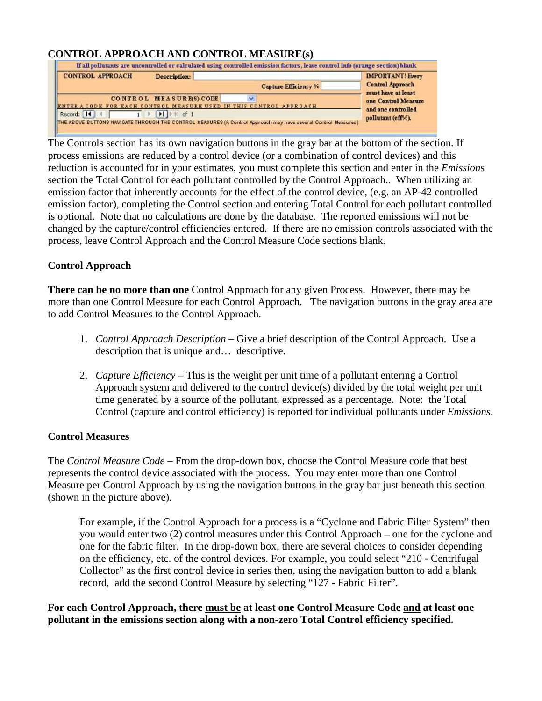### **CONTROL APPROACH AND CONTROL MEASURE(s)**

| <b>CONTROL APPROACH</b> | Description:            |                                                                                                                | <b>IMPORTANT!</b> Every                       |
|-------------------------|-------------------------|----------------------------------------------------------------------------------------------------------------|-----------------------------------------------|
|                         |                         | Capture Efficiency %                                                                                           | <b>Centrel Approach</b><br>must have at least |
|                         | CONTROL MEASURE(S) CODE | ENTER A CODE FOR EACH CONTROL MEASURE USED IN THIS CONTROL APPROACH                                            | one Control Measure                           |
| Record: 14              | H<br>of <sub>1</sub>    | THE ABOVE BUTTONS NAVIGATE THROUGH THE CONTROL MEASURES (A Control Approach may have several Control Neasures) | and one controlled<br>pollutant (eff%).       |

The Controls section has its own navigation buttons in the gray bar at the bottom of the section. If process emissions are reduced by a control device (or a combination of control devices) and this reduction is accounted for in your estimates, you must complete this section and enter in the *Emission*s section the Total Control for each pollutant controlled by the Control Approach.. When utilizing an emission factor that inherently accounts for the effect of the control device, (e.g. an AP-42 controlled emission factor), completing the Control section and entering Total Control for each pollutant controlled is optional. Note that no calculations are done by the database. The reported emissions will not be changed by the capture/control efficiencies entered. If there are no emission controls associated with the process, leave Control Approach and the Control Measure Code sections blank.

#### **Control Approach**

**There can be no more than one** Control Approach for any given Process. However, there may be more than one Control Measure for each Control Approach. The navigation buttons in the gray area are to add Control Measures to the Control Approach.

- 1. *Control Approach Description* Give a brief description of the Control Approach. Use a description that is unique and… descriptive.
- 2. *Capture Efficiency* This is the weight per unit time of a pollutant entering a Control Approach system and delivered to the control device(s) divided by the total weight per unit time generated by a source of the pollutant, expressed as a percentage. Note: the Total Control (capture and control efficiency) is reported for individual pollutants under *Emissions*.

#### **Control Measures**

The *Control Measure Code* – From the drop-down box, choose the Control Measure code that best represents the control device associated with the process. You may enter more than one Control Measure per Control Approach by using the navigation buttons in the gray bar just beneath this section (shown in the picture above).

For example, if the Control Approach for a process is a "Cyclone and Fabric Filter System" then you would enter two (2) control measures under this Control Approach – one for the cyclone and one for the fabric filter. In the drop-down box, there are several choices to consider depending on the efficiency, etc. of the control devices. For example, you could select "210 - Centrifugal Collector" as the first control device in series then, using the navigation button to add a blank record, add the second Control Measure by selecting "127 - Fabric Filter".

**For each Control Approach, there must be at least one Control Measure Code and at least one pollutant in the emissions section along with a non-zero Total Control efficiency specified.**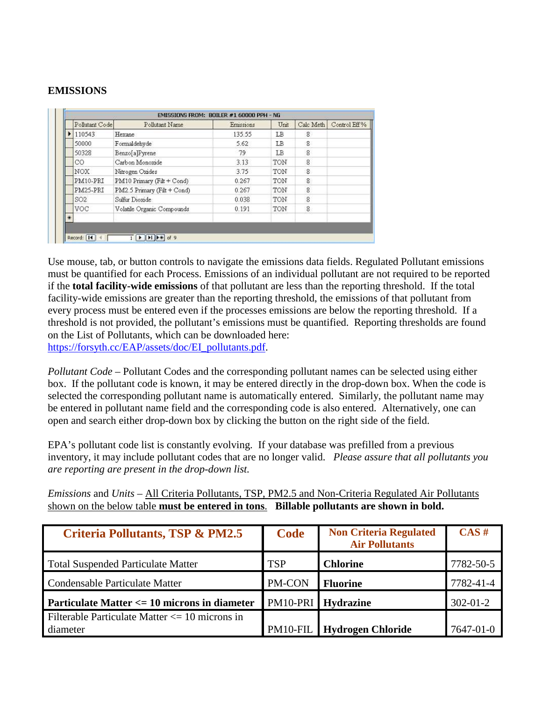#### **EMISSIONS**

|     | Pollutant Code  | Pollutant Name              | Emissions | Unit | Calc Meth | Control Eff % |
|-----|-----------------|-----------------------------|-----------|------|-----------|---------------|
|     | 110543          | Hexane                      | 135.55    | LB   | 8         |               |
|     | 50000           | Formaldehyde                | 5.62      | LΒ   | 8         |               |
|     | 50328           | Benzo[a]Pyrene              | 79        | ΙB   | 8         |               |
|     | CO              | Carbon Monoxide             | 3.13      | TON  | 8         |               |
|     | NOX             | Nitrogen Oxides             | 3.75      | TON  | 8         |               |
|     | PM10-PRI        | PM10 Primary (Filt + Cond)  | 0.267     | TON  | 8         |               |
|     | PM25-PRI        | PM2.5 Primary (Filt + Cond) | 0.267     | TON  | 8         |               |
|     | SO <sub>2</sub> | Sulfur Dioxide              | 0.038     | TON  | 8         |               |
|     | <b>VOC</b>      | Volatile Organic Compounds  | 0.191     | TON  | 8         |               |
| $*$ |                 |                             |           |      |           |               |

Use mouse, tab, or button controls to navigate the emissions data fields. Regulated Pollutant emissions must be quantified for each Process. Emissions of an individual pollutant are not required to be reported if the **total facility-wide emissions** of that pollutant are less than the reporting threshold. If the total facility-wide emissions are greater than the reporting threshold, the emissions of that pollutant from every process must be entered even if the processes emissions are below the reporting threshold. If a threshold is not provided, the pollutant's emissions must be quantified. Reporting thresholds are found on the List of Pollutants, which can be downloaded here: [https://forsyth.cc/EAP/assets/doc/EI\\_pollutants.pdf](https://forsyth.cc/EAP/assets/doc/EI_pollutants.pdf).

*Pollutant Code* – Pollutant Codes and the corresponding pollutant names can be selected using either box. If the pollutant code is known, it may be entered directly in the drop-down box. When the code is selected the corresponding pollutant name is automatically entered. Similarly, the pollutant name may be entered in pollutant name field and the corresponding code is also entered. Alternatively, one can open and search either drop-down box by clicking the button on the right side of the field.

EPA's pollutant code list is constantly evolving. If your database was prefilled from a previous inventory, it may include pollutant codes that are no longer valid. *Please assure that all pollutants you are reporting are present in the drop-down list.*

*Emissions* and *Units* – All Criteria Pollutants, TSP, PM2.5 and Non-Criteria Regulated Air Pollutants shown on the below table **must be entered in tons**. **Billable pollutants are shown in bold.**

| <b>Criteria Pollutants, TSP &amp; PM2.5</b>                    | Code       | <b>Non Criteria Regulated</b><br><b>Air Pollutants</b> | CAS#           |
|----------------------------------------------------------------|------------|--------------------------------------------------------|----------------|
| <b>Total Suspended Particulate Matter</b>                      | <b>TSP</b> | <b>Chlorine</b>                                        | 7782-50-5      |
| Condensable Particulate Matter                                 | PM-CON     | <b>Fluorine</b>                                        | 7782-41-4      |
| Particulate Matter <= 10 microns in diameter                   |            | PM10-PRI Hydrazine                                     | $302 - 01 - 2$ |
| Filterable Particulate Matter $\leq$ 10 microns in<br>diameter |            | <b>PM10-FIL</b> Hydrogen Chloride                      | 7647-01-0      |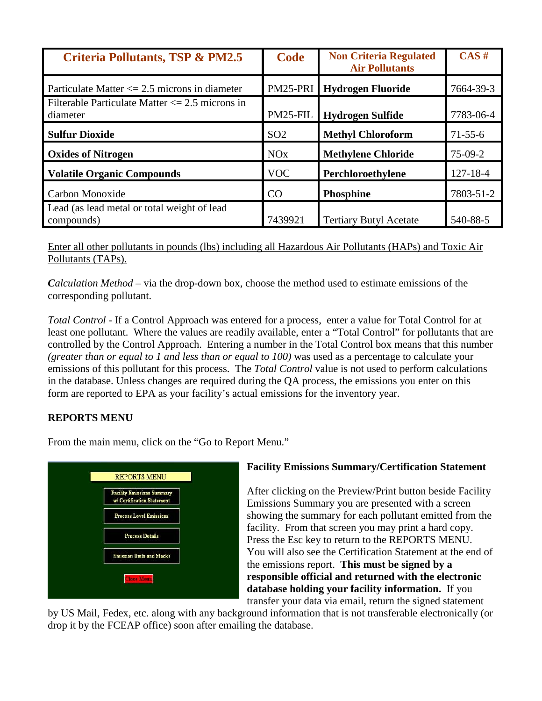| <b>Criteria Pollutants, TSP &amp; PM2.5</b>                     | <b>Code</b>           | <b>Non Criteria Regulated</b><br><b>Air Pollutants</b> | CAS#           |
|-----------------------------------------------------------------|-----------------------|--------------------------------------------------------|----------------|
| Particulate Matter $\leq$ 2.5 microns in diameter               | PM25-PRI              | <b>Hydrogen Fluoride</b>                               | 7664-39-3      |
| Filterable Particulate Matter $\leq$ 2.5 microns in<br>diameter | PM25-FIL              | <b>Hydrogen Sulfide</b>                                | 7783-06-4      |
| <b>Sulfur Dioxide</b>                                           | SO <sub>2</sub>       | <b>Methyl Chloroform</b>                               | $71 - 55 - 6$  |
| <b>Oxides of Nitrogen</b>                                       | <b>NO<sub>x</sub></b> | <b>Methylene Chloride</b>                              | $75-09-2$      |
| <b>Volatile Organic Compounds</b>                               | <b>VOC</b>            | Perchloroethylene                                      | $127 - 18 - 4$ |
| Carbon Monoxide                                                 | CO                    | <b>Phosphine</b>                                       | 7803-51-2      |
| Lead (as lead metal or total weight of lead<br>compounds)       | 7439921               | <b>Tertiary Butyl Acetate</b>                          | 540-88-5       |

Enter all other pollutants in pounds (lbs) including all Hazardous Air Pollutants (HAPs) and Toxic Air Pollutants (TAPs).

*Calculation Method* – via the drop-down box, choose the method used to estimate emissions of the corresponding pollutant.

*Total Control* - If a Control Approach was entered for a process, enter a value for Total Control for at least one pollutant. Where the values are readily available, enter a "Total Control" for pollutants that are controlled by the Control Approach. Entering a number in the Total Control box means that this number *(greater than or equal to 1 and less than or equal to 100)* was used as a percentage to calculate your emissions of this pollutant for this process. The *Total Control* value is not used to perform calculations in the database. Unless changes are required during the QA process, the emissions you enter on this form are reported to EPA as your facility's actual emissions for the inventory year.

## **REPORTS MENU**

From the main menu, click on the "Go to Report Menu."



### **Facility Emissions Summary/Certification Statement**

After clicking on the Preview/Print button beside Facility Emissions Summary you are presented with a screen showing the summary for each pollutant emitted from the facility. From that screen you may print a hard copy. Press the Esc key to return to the REPORTS MENU. You will also see the Certification Statement at the end of the emissions report. **This must be signed by a responsible official and returned with the electronic database holding your facility information.** If you transfer your data via email, return the signed statement

by US Mail, Fedex, etc. along with any background information that is not transferable electronically (or drop it by the FCEAP office) soon after emailing the database.